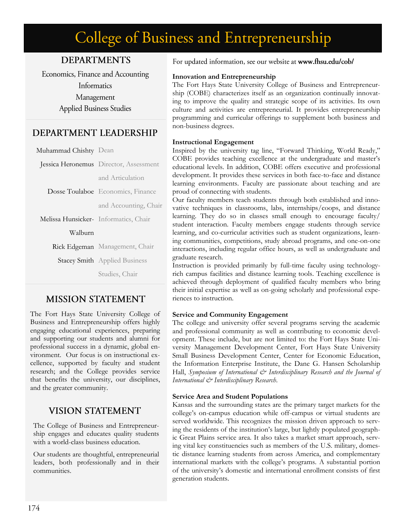# College of Business and Entrepreneurship

# **DEPARTMENTS**

Economics, Finance and Accounting Informatics Management **Applied Business Studies** 

# DEPARTMENT LEADERSHIP

| Muhammad Chishty Dean                 |                                        |
|---------------------------------------|----------------------------------------|
|                                       | Jessica Heronemus Director, Assessment |
|                                       | and Articulation                       |
|                                       | Dosse Toulaboe Economics, Finance      |
|                                       | and Accounting, Chair                  |
| Melissa Hunsicker- Informatics, Chair |                                        |
| Walburn                               |                                        |
|                                       | Rick Edgeman Management, Chair         |
|                                       | <b>Stacey Smith</b> Applied Business   |
|                                       | Studies, Chair                         |

# **MISSION STATEMENT**

The Fort Hays State University College of Business and Entrepreneurship offers highly engaging educational experiences, preparing and supporting our students and alumni for professional success in a dynamic, global environment. Our focus is on instructional excellence, supported by faculty and student research; and the College provides service that benefits the university, our disciplines, and the greater community.

# **VISION STATEMENT**

The College of Business and Entrepreneurship engages and educates quality students with a world-class business education.

Our students are thoughtful, entrepreneurial leaders, both professionally and in their communities.

For updated information, see our website at www.fhsu.edu/cob/

## **Innovation and Entrepreneurship**

The Fort Hays State University College of Business and Entrepreneurship (COBE) characterizes itself as an organization continually innovating to improve the quality and strategic scope of its activities. Its own culture and activities are entrepreneurial. It provides entrepreneurship programming and curricular offerings to supplement both business and non-business degrees.

## **Instructional Engagement**

Inspired by the university tag line, "Forward Thinking, World Ready," COBE provides teaching excellence at the undergraduate and master's educational levels. In addition, COBE offers executive and professional development. It provides these services in both face-to-face and distance learning environments. Faculty are passionate about teaching and are proud of connecting with students.

Our faculty members teach students through both established and innovative techniques in classrooms, labs, internships/coops, and distance learning. They do so in classes small enough to encourage faculty/ student interaction. Faculty members engage students through service learning, and co-curricular activities such as student organizations, learning communities, competitions, study abroad programs, and one-on-one interactions, including regular office hours, as well as undergraduate and graduate research.

Instruction is provided primarily by full-time faculty using technologyrich campus facilities and distance learning tools. Teaching excellence is achieved through deployment of qualified faculty members who bring their initial expertise as well as on-going scholarly and professional experiences to instruction.

## **Service and Community Engagement**

The college and university offer several programs serving the academic and professional community as well as contributing to economic development. These include, but are not limited to: the Fort Hays State University Management Development Center, Fort Hays State University Small Business Development Center, Center for Economic Education, the Information Enterprise Institute, the Dane G. Hansen Scholarship Hall, *Symposium of International*  $\mathcal{C}^*$  *Interdisciplinary Research and the Journal of International & Interdisciplinary Research*.

#### **Service Area and Student Populations**

Kansas and the surrounding states are the primary target markets for the college's on-campus education while off-campus or virtual students are served worldwide. This recognizes the mission driven approach to serving the residents of the institution's large, but lightly populated geographic Great Plains service area. It also takes a market smart approach, serving vital key constituencies such as members of the U.S. military, domestic distance learning students from across America, and complementary international markets with the college's programs. A substantial portion of the university's domestic and international enrollment consists of first generation students.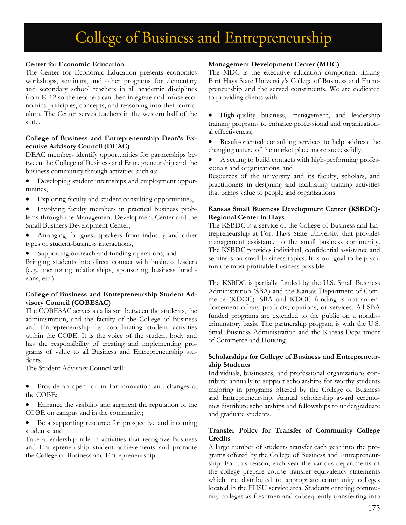# College of Business and Entrepreneurship

## **Center for Economic Education**

The Center for Economic Education presents economics workshops, seminars, and other programs for elementary and secondary school teachers in all academic disciplines from K-12 so the teachers can then integrate and infuse economics principles, concepts, and reasoning into their curriculum. The Center serves teachers in the western half of the state.

#### **College of Business and Entrepreneurship Dean's Executive Advisory Council (DEAC)**

DEAC members identify opportunities for partnerships between the College of Business and Entrepreneurship and the business community through activities such as:

- Developing student internships and employment opportunities,
- Exploring faculty and student consulting opportunities,
- Involving faculty members in practical business problems through the Management Development Center and the Small Business Development Center,
- Arranging for guest speakers from industry and other types of student-business interactions,
- Supporting outreach and funding operations, and

Bringing students into direct contact with business leaders (e.g., mentoring relationships, sponsoring business luncheons, etc.).

#### **College of Business and Entrepreneurship Student Advisory Council (COBESAC)**

The COBESAC serves as a liaison between the students, the administration, and the faculty of the College of Business and Entrepreneurship by coordinating student activities within the COBE. It is the voice of the student body and has the responsibility of creating and implementing programs of value to all Business and Entrepreneurship students.

The Student Advisory Council will:

- Provide an open forum for innovation and changes at the COBE;
- Enhance the visibility and augment the reputation of the COBE on campus and in the community;
- Be a supporting resource for prospective and incoming students; and

Take a leadership role in activities that recognize Business and Entrepreneurship student achievements and promote the College of Business and Entrepreneurship.

# **Management Development Center (MDC)**

The MDC is the executive education component linking Fort Hays State University's College of Business and Entrepreneurship and the served constituents. We are dedicated to providing clients with:

- High-quality business, management, and leadership training programs to enhance professional and organizational effectiveness;
- Result-oriented consulting services to help address the changing nature of the market place more successfully;
- A setting to build contacts with high-performing professionals and organizations; and

Resources of the university and its faculty, scholars, and practitioners in designing and facilitating training activities that brings value to people and organizations.

## **Kansas Small Business Development Center (KSBDC)- Regional Center in Hays**

The KSBDC is a service of the College of Business and Entrepreneurship at Fort Hays State University that provides management assistance to the small business community. The KSBDC provides individual, confidential assistance and seminars on small business topics. It is our goal to help you run the most profitable business possible.

The KSBDC is partially funded by the U.S. Small Business Administration (SBA) and the Kansas Department of Commerce (KDOC). SBA and KDOC funding is not an endorsement of any products, opinions, or services. All SBA funded programs are extended to the public on a nondiscriminatory basis. The partnership program is with the U.S. Small Business Administration and the Kansas Department of Commerce and Housing.

#### **Scholarships for College of Business and Entrepreneurship Students**

Individuals, businesses, and professional organizations contribute annually to support scholarships for worthy students majoring in programs offered by the College of Business and Entrepreneurship. Annual scholarship award ceremonies distribute scholarships and fellowships to undergraduate and graduate students.

## **Transfer Policy for Transfer of Community College Credits**

A large number of students transfer each year into the programs offered by the College of Business and Entrepreneurship. For this reason, each year the various departments of the college prepare course transfer equivalency statements which are distributed to appropriate community colleges located in the FHSU service area. Students entering community colleges as freshmen and subsequently transferring into